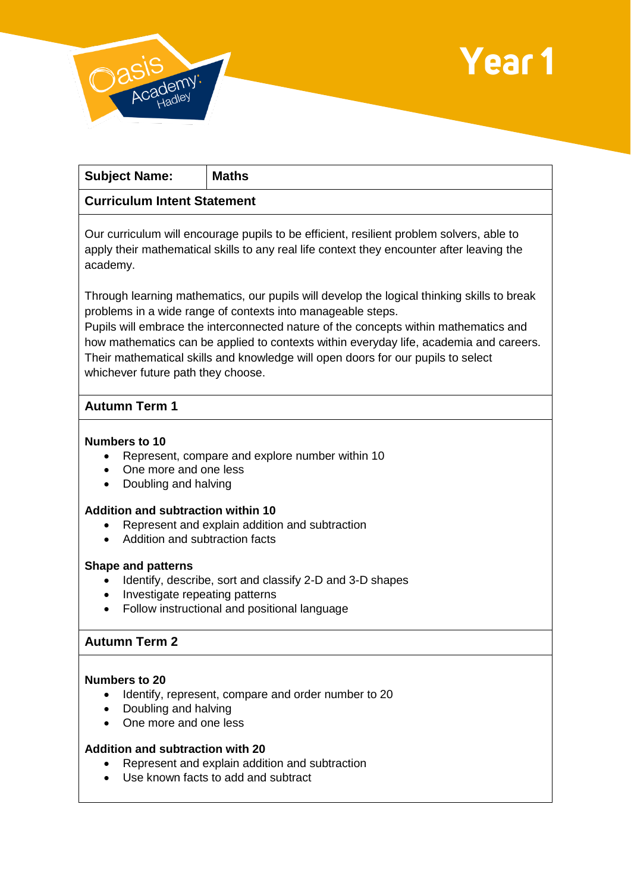



| <b>Subject Name:</b>                                                                       | <b>Maths</b>                                                                                                                                                                          |
|--------------------------------------------------------------------------------------------|---------------------------------------------------------------------------------------------------------------------------------------------------------------------------------------|
| <b>Curriculum Intent Statement</b>                                                         |                                                                                                                                                                                       |
| academy.                                                                                   | Our curriculum will encourage pupils to be efficient, resilient problem solvers, able to<br>apply their mathematical skills to any real life context they encounter after leaving the |
| Through learning mathematics, our pupils will develop the logical thinking skills to break |                                                                                                                                                                                       |

problems in a wide range of contexts into manageable steps. Pupils will embrace the interconnected nature of the concepts within mathematics and how mathematics can be applied to contexts within everyday life, academia and careers. Their mathematical skills and knowledge will open doors for our pupils to select whichever future path they choose.

## **Autumn Term 1**

## **Numbers to 10**

- Represent, compare and explore number within 10
- One more and one less
- Doubling and halving

## **Addition and subtraction within 10**

- Represent and explain addition and subtraction
- Addition and subtraction facts

#### **Shape and patterns**

- Identify, describe, sort and classify 2-D and 3-D shapes
- Investigate repeating patterns
- Follow instructional and positional language

## **Autumn Term 2**

### **Numbers to 20**

- Identify, represent, compare and order number to 20
- Doubling and halving
- One more and one less

## **Addition and subtraction with 20**

- Represent and explain addition and subtraction
- Use known facts to add and subtract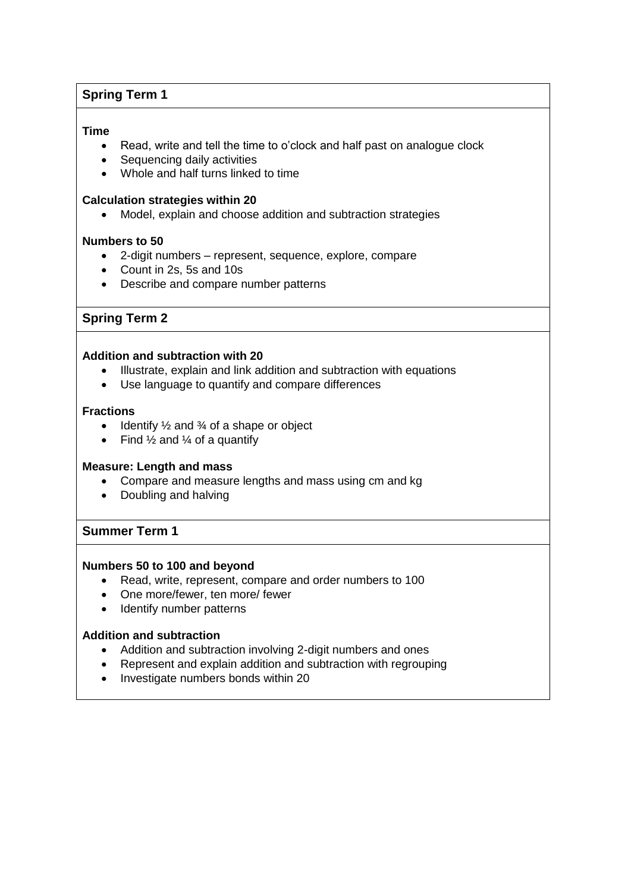# **Spring Term 1**

#### **Time**

- Read, write and tell the time to o'clock and half past on analogue clock
- Sequencing daily activities
- Whole and half turns linked to time

#### **Calculation strategies within 20**

Model, explain and choose addition and subtraction strategies

#### **Numbers to 50**

- 2-digit numbers represent, sequence, explore, compare
- Count in 2s, 5s and 10s
- Describe and compare number patterns

## **Spring Term 2**

## **Addition and subtraction with 20**

- Illustrate, explain and link addition and subtraction with equations
- Use language to quantify and compare differences

#### **Fractions**

- $\bullet$  Identify  $\frac{1}{2}$  and  $\frac{3}{4}$  of a shape or object
- Find  $\frac{1}{2}$  and  $\frac{1}{4}$  of a quantify

#### **Measure: Length and mass**

- Compare and measure lengths and mass using cm and kg
- Doubling and halving

## **Summer Term 1**

#### **Numbers 50 to 100 and beyond**

- Read, write, represent, compare and order numbers to 100
- One more/fewer, ten more/ fewer
- Identify number patterns

#### **Addition and subtraction**

- Addition and subtraction involving 2-digit numbers and ones
- Represent and explain addition and subtraction with regrouping
- Investigate numbers bonds within 20